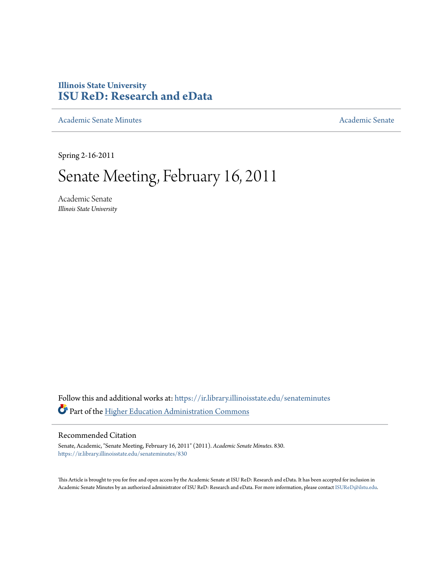# **Illinois State University [ISU ReD: Research and eData](https://ir.library.illinoisstate.edu?utm_source=ir.library.illinoisstate.edu%2Fsenateminutes%2F830&utm_medium=PDF&utm_campaign=PDFCoverPages)**

[Academic Senate Minutes](https://ir.library.illinoisstate.edu/senateminutes?utm_source=ir.library.illinoisstate.edu%2Fsenateminutes%2F830&utm_medium=PDF&utm_campaign=PDFCoverPages) [Academic Senate](https://ir.library.illinoisstate.edu/senate?utm_source=ir.library.illinoisstate.edu%2Fsenateminutes%2F830&utm_medium=PDF&utm_campaign=PDFCoverPages) Academic Senate

Spring 2-16-2011

# Senate Meeting, February 16, 2011

Academic Senate *Illinois State University*

Follow this and additional works at: [https://ir.library.illinoisstate.edu/senateminutes](https://ir.library.illinoisstate.edu/senateminutes?utm_source=ir.library.illinoisstate.edu%2Fsenateminutes%2F830&utm_medium=PDF&utm_campaign=PDFCoverPages) Part of the [Higher Education Administration Commons](http://network.bepress.com/hgg/discipline/791?utm_source=ir.library.illinoisstate.edu%2Fsenateminutes%2F830&utm_medium=PDF&utm_campaign=PDFCoverPages)

#### Recommended Citation

Senate, Academic, "Senate Meeting, February 16, 2011" (2011). *Academic Senate Minutes*. 830. [https://ir.library.illinoisstate.edu/senateminutes/830](https://ir.library.illinoisstate.edu/senateminutes/830?utm_source=ir.library.illinoisstate.edu%2Fsenateminutes%2F830&utm_medium=PDF&utm_campaign=PDFCoverPages)

This Article is brought to you for free and open access by the Academic Senate at ISU ReD: Research and eData. It has been accepted for inclusion in Academic Senate Minutes by an authorized administrator of ISU ReD: Research and eData. For more information, please contact [ISUReD@ilstu.edu.](mailto:ISUReD@ilstu.edu)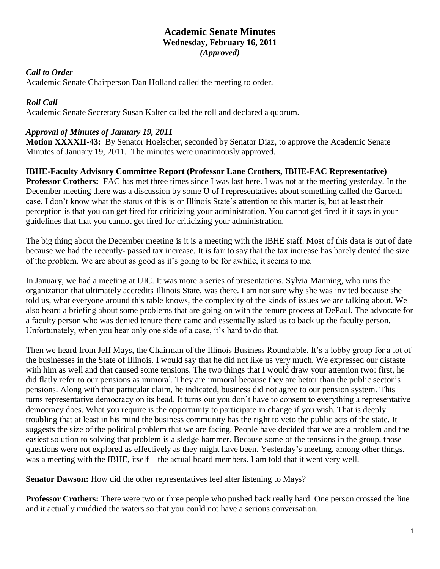## **Academic Senate Minutes Wednesday, February 16, 2011** *(Approved)*

#### *Call to Order*

Academic Senate Chairperson Dan Holland called the meeting to order.

## *Roll Call*

Academic Senate Secretary Susan Kalter called the roll and declared a quorum.

## *Approval of Minutes of January 19, 2011*

**Motion XXXXII-43:** By Senator Hoelscher, seconded by Senator Diaz, to approve the Academic Senate Minutes of January 19, 2011. The minutes were unanimously approved.

**IBHE-Faculty Advisory Committee Report (Professor Lane Crothers, IBHE-FAC Representative) Professor Crothers:** FAC has met three times since I was last here. I was not at the meeting yesterday. In the December meeting there was a discussion by some U of I representatives about something called the Garcetti case. I don't know what the status of this is or Illinois State's attention to this matter is, but at least their perception is that you can get fired for criticizing your administration. You cannot get fired if it says in your guidelines that that you cannot get fired for criticizing your administration.

The big thing about the December meeting is it is a meeting with the IBHE staff. Most of this data is out of date because we had the recently- passed tax increase. It is fair to say that the tax increase has barely dented the size of the problem. We are about as good as it's going to be for awhile, it seems to me.

In January, we had a meeting at UIC. It was more a series of presentations. Sylvia Manning, who runs the organization that ultimately accredits Illinois State, was there. I am not sure why she was invited because she told us, what everyone around this table knows, the complexity of the kinds of issues we are talking about. We also heard a briefing about some problems that are going on with the tenure process at DePaul. The advocate for a faculty person who was denied tenure there came and essentially asked us to back up the faculty person. Unfortunately, when you hear only one side of a case, it's hard to do that.

Then we heard from Jeff Mays, the Chairman of the Illinois Business Roundtable. It's a lobby group for a lot of the businesses in the State of Illinois. I would say that he did not like us very much. We expressed our distaste with him as well and that caused some tensions. The two things that I would draw your attention two: first, he did flatly refer to our pensions as immoral. They are immoral because they are better than the public sector's pensions. Along with that particular claim, he indicated, business did not agree to our pension system. This turns representative democracy on its head. It turns out you don't have to consent to everything a representative democracy does. What you require is the opportunity to participate in change if you wish. That is deeply troubling that at least in his mind the business community has the right to veto the public acts of the state. It suggests the size of the political problem that we are facing. People have decided that we are a problem and the easiest solution to solving that problem is a sledge hammer. Because some of the tensions in the group, those questions were not explored as effectively as they might have been. Yesterday's meeting, among other things, was a meeting with the IBHE, itself—the actual board members. I am told that it went very well.

**Senator Dawson:** How did the other representatives feel after listening to Mays?

**Professor Crothers:** There were two or three people who pushed back really hard. One person crossed the line and it actually muddied the waters so that you could not have a serious conversation.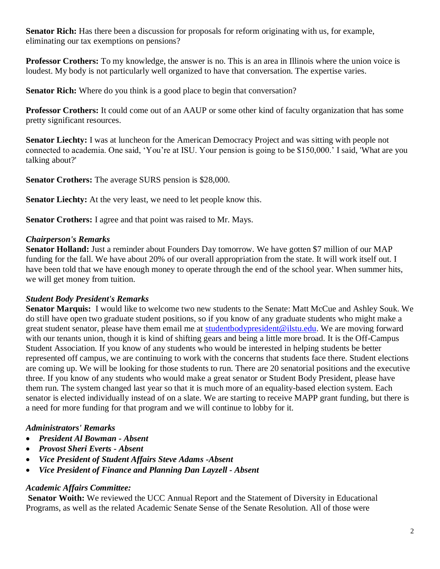**Senator Rich:** Has there been a discussion for proposals for reform originating with us, for example, eliminating our tax exemptions on pensions?

**Professor Crothers:** To my knowledge, the answer is no. This is an area in Illinois where the union voice is loudest. My body is not particularly well organized to have that conversation. The expertise varies.

**Senator Rich:** Where do you think is a good place to begin that conversation?

**Professor Crothers:** It could come out of an AAUP or some other kind of faculty organization that has some pretty significant resources.

**Senator Liechty:** I was at luncheon for the American Democracy Project and was sitting with people not connected to academia. One said, 'You're at ISU. Your pension is going to be \$150,000.' I said, 'What are you talking about?'

**Senator Crothers:** The average SURS pension is \$28,000.

**Senator Liechty:** At the very least, we need to let people know this.

**Senator Crothers:** I agree and that point was raised to Mr. Mays.

## *Chairperson's Remarks*

**Senator Holland:** Just a reminder about Founders Day tomorrow. We have gotten \$7 million of our MAP funding for the fall. We have about 20% of our overall appropriation from the state. It will work itself out. I have been told that we have enough money to operate through the end of the school year. When summer hits, we will get money from tuition.

## *Student Body President's Remarks*

**Senator Marquis:** I would like to welcome two new students to the Senate: Matt McCue and Ashley Souk. We do still have open two graduate student positions, so if you know of any graduate students who might make a great student senator, please have them email me at [studentbodypresident@ilstu.edu.](mailto:studentbodypresident@ilstu.edu) We are moving forward with our tenants union, though it is kind of shifting gears and being a little more broad. It is the Off-Campus Student Association. If you know of any students who would be interested in helping students be better represented off campus, we are continuing to work with the concerns that students face there. Student elections are coming up. We will be looking for those students to run. There are 20 senatorial positions and the executive three. If you know of any students who would make a great senator or Student Body President, please have them run. The system changed last year so that it is much more of an equality-based election system. Each senator is elected individually instead of on a slate. We are starting to receive MAPP grant funding, but there is a need for more funding for that program and we will continue to lobby for it.

## *Administrators' Remarks*

- *President Al Bowman - Absent*
- *Provost Sheri Everts - Absent*
- *Vice President of Student Affairs Steve Adams -Absent*
- *Vice President of Finance and Planning Dan Layzell - Absent*

## *Academic Affairs Committee:*

**Senator Woith:** We reviewed the UCC Annual Report and the Statement of Diversity in Educational Programs, as well as the related Academic Senate Sense of the Senate Resolution. All of those were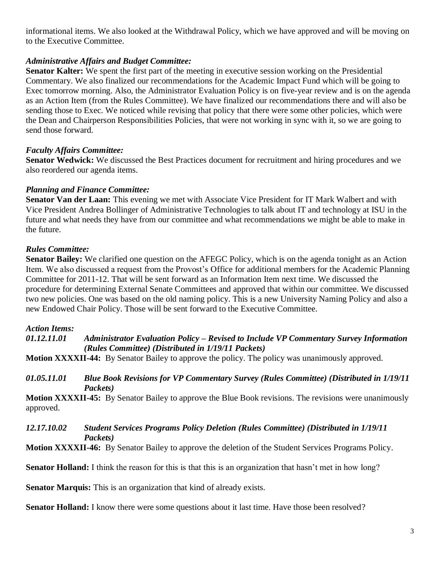informational items. We also looked at the Withdrawal Policy, which we have approved and will be moving on to the Executive Committee.

## *Administrative Affairs and Budget Committee:*

**Senator Kalter:** We spent the first part of the meeting in executive session working on the Presidential Commentary. We also finalized our recommendations for the Academic Impact Fund which will be going to Exec tomorrow morning. Also, the Administrator Evaluation Policy is on five-year review and is on the agenda as an Action Item (from the Rules Committee). We have finalized our recommendations there and will also be sending those to Exec. We noticed while revising that policy that there were some other policies, which were the Dean and Chairperson Responsibilities Policies, that were not working in sync with it, so we are going to send those forward.

## *Faculty Affairs Committee:*

**Senator Wedwick:** We discussed the Best Practices document for recruitment and hiring procedures and we also reordered our agenda items.

#### *Planning and Finance Committee:*

**Senator Van der Laan:** This evening we met with Associate Vice President for IT Mark Walbert and with Vice President Andrea Bollinger of Administrative Technologies to talk about IT and technology at ISU in the future and what needs they have from our committee and what recommendations we might be able to make in the future.

## *Rules Committee:*

**Senator Bailey:** We clarified one question on the AFEGC Policy, which is on the agenda tonight as an Action Item. We also discussed a request from the Provost's Office for additional members for the Academic Planning Committee for 2011-12. That will be sent forward as an Information Item next time. We discussed the procedure for determining External Senate Committees and approved that within our committee. We discussed two new policies. One was based on the old naming policy. This is a new University Naming Policy and also a new Endowed Chair Policy. Those will be sent forward to the Executive Committee.

#### *Action Items:*

#### *01.12.11.01 Administrator Evaluation Policy – Revised to Include VP Commentary Survey Information (Rules Committee) (Distributed in 1/19/11 Packets)*

**Motion XXXXII-44:** By Senator Bailey to approve the policy. The policy was unanimously approved.

#### *01.05.11.01 Blue Book Revisions for VP Commentary Survey (Rules Committee) (Distributed in 1/19/11 Packets)*

**Motion XXXXII-45:** By Senator Bailey to approve the Blue Book revisions. The revisions were unanimously approved.

## *12.17.10.02 Student Services Programs Policy Deletion (Rules Committee) (Distributed in 1/19/11 Packets)*

**Motion XXXXII-46:** By Senator Bailey to approve the deletion of the Student Services Programs Policy.

**Senator Holland:** I think the reason for this is that this is an organization that hasn't met in how long?

**Senator Marquis:** This is an organization that kind of already exists.

**Senator Holland:** I know there were some questions about it last time. Have those been resolved?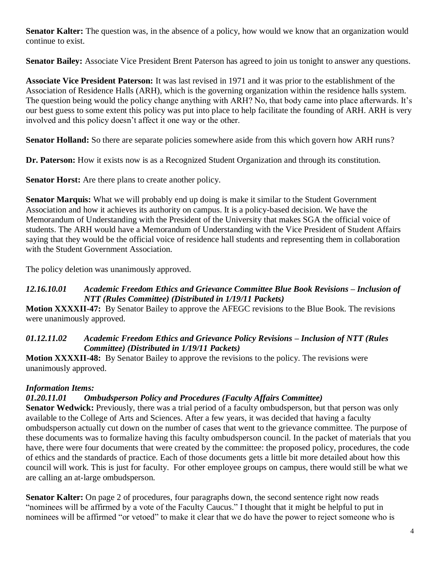**Senator Kalter:** The question was, in the absence of a policy, how would we know that an organization would continue to exist.

**Senator Bailey:** Associate Vice President Brent Paterson has agreed to join us tonight to answer any questions.

**Associate Vice President Paterson:** It was last revised in 1971 and it was prior to the establishment of the Association of Residence Halls (ARH), which is the governing organization within the residence halls system. The question being would the policy change anything with ARH? No, that body came into place afterwards. It's our best guess to some extent this policy was put into place to help facilitate the founding of ARH. ARH is very involved and this policy doesn't affect it one way or the other.

**Senator Holland:** So there are separate policies somewhere aside from this which govern how ARH runs?

**Dr. Paterson:** How it exists now is as a Recognized Student Organization and through its constitution.

**Senator Horst:** Are there plans to create another policy.

**Senator Marquis:** What we will probably end up doing is make it similar to the Student Government Association and how it achieves its authority on campus. It is a policy-based decision. We have the Memorandum of Understanding with the President of the University that makes SGA the official voice of students. The ARH would have a Memorandum of Understanding with the Vice President of Student Affairs saying that they would be the official voice of residence hall students and representing them in collaboration with the Student Government Association.

The policy deletion was unanimously approved.

## *12.16.10.01 Academic Freedom Ethics and Grievance Committee Blue Book Revisions – Inclusion of NTT (Rules Committee) (Distributed in 1/19/11 Packets)*

**Motion XXXXII-47:** By Senator Bailey to approve the AFEGC revisions to the Blue Book. The revisions were unanimously approved.

## *01.12.11.02 Academic Freedom Ethics and Grievance Policy Revisions – Inclusion of NTT (Rules Committee) (Distributed in 1/19/11 Packets)*

**Motion XXXXII-48:** By Senator Bailey to approve the revisions to the policy. The revisions were unanimously approved.

# *Information Items:*

# *01.20.11.01 Ombudsperson Policy and Procedures (Faculty Affairs Committee)*

**Senator Wedwick:** Previously, there was a trial period of a faculty ombudsperson, but that person was only available to the College of Arts and Sciences. After a few years, it was decided that having a faculty ombudsperson actually cut down on the number of cases that went to the grievance committee. The purpose of these documents was to formalize having this faculty ombudsperson council. In the packet of materials that you have, there were four documents that were created by the committee: the proposed policy, procedures, the code of ethics and the standards of practice. Each of those documents gets a little bit more detailed about how this council will work. This is just for faculty. For other employee groups on campus, there would still be what we are calling an at-large ombudsperson.

**Senator Kalter:** On page 2 of procedures, four paragraphs down, the second sentence right now reads "nominees will be affirmed by a vote of the Faculty Caucus." I thought that it might be helpful to put in nominees will be affirmed "or vetoed" to make it clear that we do have the power to reject someone who is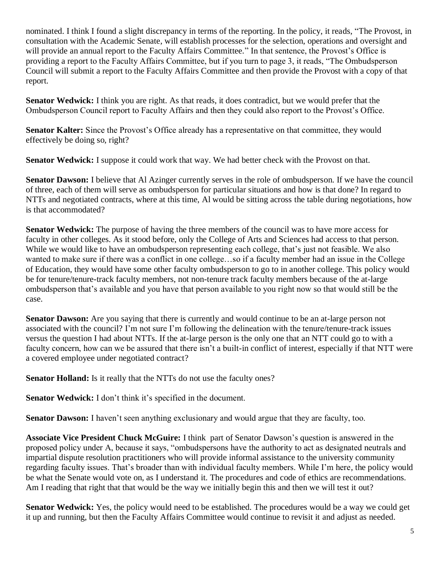nominated. I think I found a slight discrepancy in terms of the reporting. In the policy, it reads, "The Provost, in consultation with the Academic Senate, will establish processes for the selection, operations and oversight and will provide an annual report to the Faculty Affairs Committee." In that sentence, the Provost's Office is providing a report to the Faculty Affairs Committee, but if you turn to page 3, it reads, "The Ombudsperson Council will submit a report to the Faculty Affairs Committee and then provide the Provost with a copy of that report.

**Senator Wedwick:** I think you are right. As that reads, it does contradict, but we would prefer that the Ombudsperson Council report to Faculty Affairs and then they could also report to the Provost's Office.

Senator Kalter: Since the Provost's Office already has a representative on that committee, they would effectively be doing so, right?

**Senator Wedwick:** I suppose it could work that way. We had better check with the Provost on that.

**Senator Dawson:** I believe that Al Azinger currently serves in the role of ombudsperson. If we have the council of three, each of them will serve as ombudsperson for particular situations and how is that done? In regard to NTTs and negotiated contracts, where at this time, Al would be sitting across the table during negotiations, how is that accommodated?

**Senator Wedwick:** The purpose of having the three members of the council was to have more access for faculty in other colleges. As it stood before, only the College of Arts and Sciences had access to that person. While we would like to have an ombudsperson representing each college, that's just not feasible. We also wanted to make sure if there was a conflict in one college…so if a faculty member had an issue in the College of Education, they would have some other faculty ombudsperson to go to in another college. This policy would be for tenure/tenure-track faculty members, not non-tenure track faculty members because of the at-large ombudsperson that's available and you have that person available to you right now so that would still be the case.

**Senator Dawson:** Are you saying that there is currently and would continue to be an at-large person not associated with the council? I'm not sure I'm following the delineation with the tenure/tenure-track issues versus the question I had about NTTs. If the at-large person is the only one that an NTT could go to with a faculty concern, how can we be assured that there isn't a built-in conflict of interest, especially if that NTT were a covered employee under negotiated contract?

**Senator Holland:** Is it really that the NTTs do not use the faculty ones?

**Senator Wedwick:** I don't think it's specified in the document.

**Senator Dawson:** I haven't seen anything exclusionary and would argue that they are faculty, too.

**Associate Vice President Chuck McGuire:** I think part of Senator Dawson's question is answered in the proposed policy under A, because it says, "ombudspersons have the authority to act as designated neutrals and impartial dispute resolution practitioners who will provide informal assistance to the university community regarding faculty issues. That's broader than with individual faculty members. While I'm here, the policy would be what the Senate would vote on, as I understand it. The procedures and code of ethics are recommendations. Am I reading that right that that would be the way we initially begin this and then we will test it out?

**Senator Wedwick:** Yes, the policy would need to be established. The procedures would be a way we could get it up and running, but then the Faculty Affairs Committee would continue to revisit it and adjust as needed.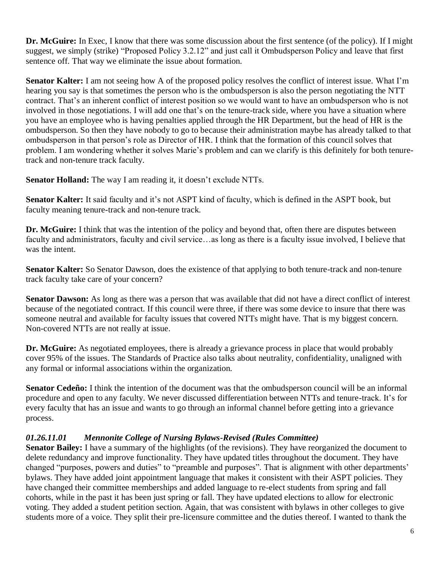**Dr. McGuire:** In Exec, I know that there was some discussion about the first sentence (of the policy). If I might suggest, we simply (strike) "Proposed Policy 3.2.12" and just call it Ombudsperson Policy and leave that first sentence off. That way we eliminate the issue about formation.

**Senator Kalter:** I am not seeing how A of the proposed policy resolves the conflict of interest issue. What I'm hearing you say is that sometimes the person who is the ombudsperson is also the person negotiating the NTT contract. That's an inherent conflict of interest position so we would want to have an ombudsperson who is not involved in those negotiations. I will add one that's on the tenure-track side, where you have a situation where you have an employee who is having penalties applied through the HR Department, but the head of HR is the ombudsperson. So then they have nobody to go to because their administration maybe has already talked to that ombudsperson in that person's role as Director of HR. I think that the formation of this council solves that problem. I am wondering whether it solves Marie's problem and can we clarify is this definitely for both tenuretrack and non-tenure track faculty.

**Senator Holland:** The way I am reading it, it doesn't exclude NTTs.

**Senator Kalter:** It said faculty and it's not ASPT kind of faculty, which is defined in the ASPT book, but faculty meaning tenure-track and non-tenure track.

**Dr. McGuire:** I think that was the intention of the policy and beyond that, often there are disputes between faculty and administrators, faculty and civil service…as long as there is a faculty issue involved, I believe that was the intent.

**Senator Kalter:** So Senator Dawson, does the existence of that applying to both tenure-track and non-tenure track faculty take care of your concern?

**Senator Dawson:** As long as there was a person that was available that did not have a direct conflict of interest because of the negotiated contract. If this council were three, if there was some device to insure that there was someone neutral and available for faculty issues that covered NTTs might have. That is my biggest concern. Non-covered NTTs are not really at issue.

**Dr. McGuire:** As negotiated employees, there is already a grievance process in place that would probably cover 95% of the issues. The Standards of Practice also talks about neutrality, confidentiality, unaligned with any formal or informal associations within the organization.

**Senator Cedeño:** I think the intention of the document was that the ombudsperson council will be an informal procedure and open to any faculty. We never discussed differentiation between NTTs and tenure-track. It's for every faculty that has an issue and wants to go through an informal channel before getting into a grievance process.

## *01.26.11.01 Mennonite College of Nursing Bylaws-Revised (Rules Committee)*

**Senator Bailey:** I have a summary of the highlights (of the revisions). They have reorganized the document to delete redundancy and improve functionality. They have updated titles throughout the document. They have changed "purposes, powers and duties" to "preamble and purposes". That is alignment with other departments' bylaws. They have added joint appointment language that makes it consistent with their ASPT policies. They have changed their committee memberships and added language to re-elect students from spring and fall cohorts, while in the past it has been just spring or fall. They have updated elections to allow for electronic voting. They added a student petition section. Again, that was consistent with bylaws in other colleges to give students more of a voice. They split their pre-licensure committee and the duties thereof. I wanted to thank the